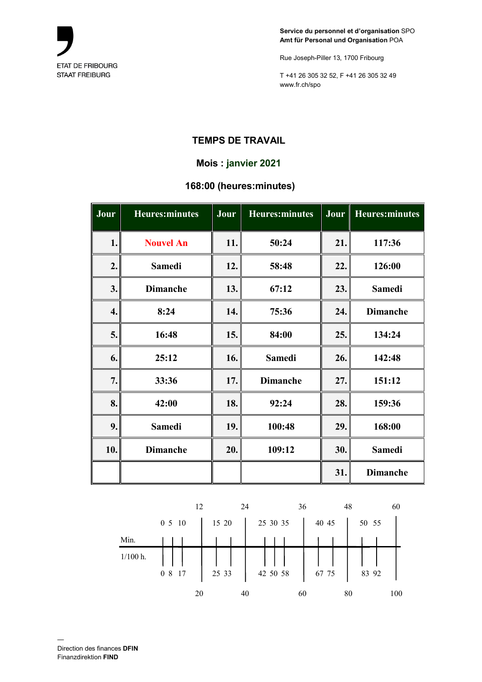

Rue Joseph-Piller 13, 1700 Fribourg

T +41 26 305 32 52, F +41 26 305 32 49 www.fr.ch/spo

# **TEMPS DE TRAVAIL**

## **Mois : janvier 2021**

#### **168:00 (heures:minutes)**

| Jour | <b>Heures:minutes</b> | Jour | <b>Heures:minutes</b> | Jour | <b>Heures:minutes</b> |
|------|-----------------------|------|-----------------------|------|-----------------------|
| 1.   | <b>Nouvel An</b>      | 11.  | 50:24                 | 21.  | 117:36                |
| 2.   | <b>Samedi</b>         | 12.  | 58:48                 | 22.  | 126:00                |
| 3.   | <b>Dimanche</b>       | 13.  | 67:12                 | 23.  | <b>Samedi</b>         |
| 4.   | 8:24                  | 14.  | 75:36                 | 24.  | <b>Dimanche</b>       |
| 5.   | 16:48                 | 15.  | 84:00                 | 25.  | 134:24                |
| 6.   | 25:12                 | 16.  | <b>Samedi</b>         | 26.  | 142:48                |
| 7.   | 33:36                 | 17.  | <b>Dimanche</b>       | 27.  | 151:12                |
| 8.   | 42:00                 | 18.  | 92:24                 | 28.  | 159:36                |
| 9.   | <b>Samedi</b>         | 19.  | 100:48                | 29.  | 168:00                |
| 10.  | <b>Dimanche</b>       | 20.  | 109:12                | 30.  | <b>Samedi</b>         |
|      |                       |      |                       | 31.  | <b>Dimanche</b>       |

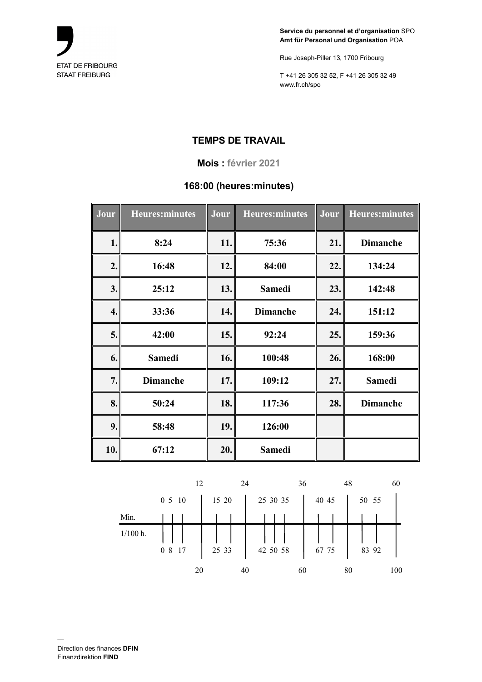

Rue Joseph-Piller 13, 1700 Fribourg

T +41 26 305 32 52, F +41 26 305 32 49 www.fr.ch/spo

## **TEMPS DE TRAVAIL**

#### **Mois : février 2021**

#### **168:00 (heures:minutes)**

| Jour | <b>Heures:minutes</b> | Jour | <b>Heures:</b> minutes | Jour | Heures: minutes |
|------|-----------------------|------|------------------------|------|-----------------|
| 1.   | 8:24                  | 11.  | 75:36                  | 21.  | <b>Dimanche</b> |
| 2.   | 16:48                 | 12.  | 84:00                  | 22.  | 134:24          |
| 3.   | 25:12                 | 13.  | <b>Samedi</b>          | 23.  | 142:48          |
| 4.   | 33:36                 | 14.  | <b>Dimanche</b>        | 24.  | 151:12          |
| 5.   | 42:00                 | 15.  | 92:24                  | 25.  | 159:36          |
| 6.   | <b>Samedi</b>         | 16.  | 100:48                 | 26.  | 168:00          |
| 7.   | <b>Dimanche</b>       | 17.  | 109:12                 | 27.  | <b>Samedi</b>   |
| 8.   | 50:24                 | 18.  | 117:36                 | 28.  | <b>Dimanche</b> |
| 9.   | 58:48                 | 19.  | 126:00                 |      |                 |
| 10.  | 67:12                 | 20.  | <b>Samedi</b>          |      |                 |

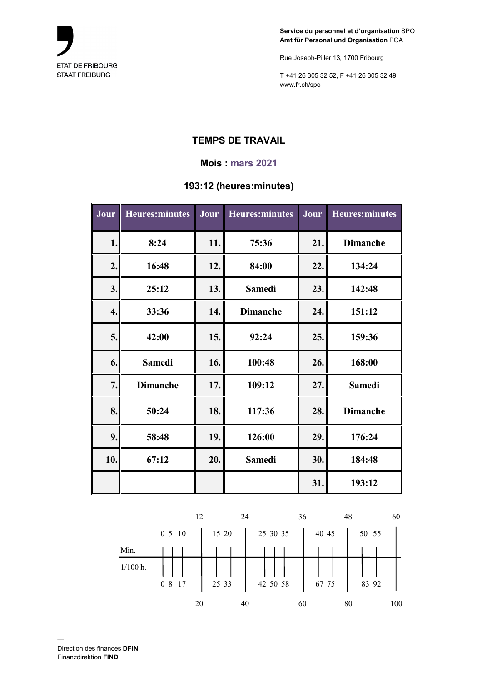

Rue Joseph-Piller 13, 1700 Fribourg

T +41 26 305 32 52, F +41 26 305 32 49 www.fr.ch/spo

# **TEMPS DE TRAVAIL**

#### **Mois : mars 2021**

## **193:12 (heures:minutes)**

| Jour | <b>Heures:minutes</b> | Jour | <b>Heures:minutes</b> | Jour | <b>Heures:minutes</b> |
|------|-----------------------|------|-----------------------|------|-----------------------|
| 1.   | 8:24                  | 11.  | 75:36                 | 21.  | <b>Dimanche</b>       |
| 2.   | 16:48                 | 12.  | 84:00                 | 22.  | 134:24                |
| 3.   | 25:12                 | 13.  | <b>Samedi</b>         | 23.  | 142:48                |
| 4.   | 33:36                 | 14.  | <b>Dimanche</b>       | 24.  | 151:12                |
| 5.   | 42:00                 | 15.  | 92:24                 | 25.  | 159:36                |
| 6.   | <b>Samedi</b>         | 16.  | 100:48                | 26.  | 168:00                |
| 7.   | <b>Dimanche</b>       | 17.  | 109:12                | 27.  | <b>Samedi</b>         |
| 8.   | 50:24                 | 18.  | 117:36                | 28.  | <b>Dimanche</b>       |
| 9.   | 58:48                 | 19.  | 126:00                | 29.  | 176:24                |
| 10.  | 67:12                 | 20.  | <b>Samedi</b>         | 30.  | 184:48                |
|      |                       |      |                       | 31.  | 193:12                |

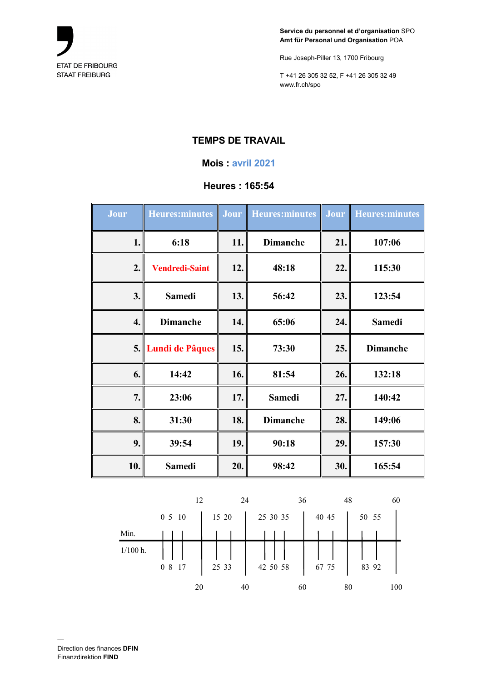

Rue Joseph-Piller 13, 1700 Fribourg

T +41 26 305 32 52, F +41 26 305 32 49 www.fr.ch/spo

# **TEMPS DE TRAVAIL**

#### **Mois : avril 2021**

#### **Heures : 165:54**

| Jour | <b>Heures: minutes</b> | Jour | <b>Heures:minutes</b> | Jour | <b>Heures:minutes</b> |
|------|------------------------|------|-----------------------|------|-----------------------|
| 1.   | 6:18                   | 11.  | <b>Dimanche</b>       | 21.  | 107:06                |
| 2.   | <b>Vendredi-Saint</b>  | 12.  | 48:18                 | 22.  | 115:30                |
| 3.   | <b>Samedi</b>          | 13.  | 56:42                 | 23.  | 123:54                |
| 4.   | <b>Dimanche</b>        | 14.  | 65:06                 | 24.  | <b>Samedi</b>         |
|      | 5. Lundi de Pâques     | 15.  | 73:30                 | 25.  | <b>Dimanche</b>       |
| 6.   | 14:42                  | 16.  | 81:54                 | 26.  | 132:18                |
| 7.   | 23:06                  | 17.  | <b>Samedi</b>         | 27.  | 140:42                |
| 8.   | 31:30                  | 18.  | <b>Dimanche</b>       | 28.  | 149:06                |
| 9.   | 39:54                  | 19.  | 90:18                 | 29.  | 157:30                |
| 10.  | <b>Samedi</b>          | 20.  | 98:42                 | 30.  | 165:54                |

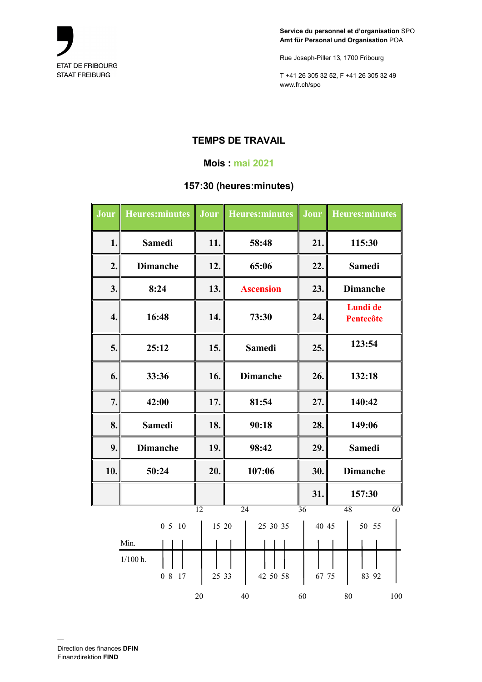

Rue Joseph-Piller 13, 1700 Fribourg

T +41 26 305 32 52, F +41 26 305 32 49 www.fr.ch/spo

# **TEMPS DE TRAVAIL**

#### **Mois : mai 2021**

## **157:30 (heures:minutes)**

| Jour | <b>Heures:minutes</b> | Jour            | Heures: minutes  |       | <b>Jour</b> Heures: minutes |
|------|-----------------------|-----------------|------------------|-------|-----------------------------|
| 1.   | <b>Samedi</b>         | 11.             | 58:48            | 21.   | 115:30                      |
| 2.   | <b>Dimanche</b>       | 12.             | 65:06            | 22.   | <b>Samedi</b>               |
| 3.   | 8:24                  | 13.             | <b>Ascension</b> | 23.   | <b>Dimanche</b>             |
| 4.   | 16:48                 | 14.             | 73:30            | 24.   | Lundi de<br>Pentecôte       |
| 5.   | 25:12                 | 15.             | <b>Samedi</b>    | 25.   | 123:54                      |
| 6.   | 33:36                 | 16.             | <b>Dimanche</b>  | 26.   | 132:18                      |
| 7.   | 42:00                 | 17.             | 81:54            | 27.   | 140:42                      |
| 8.   | <b>Samedi</b>         | 18.             | 90:18            | 28.   | 149:06                      |
| 9.   | <b>Dimanche</b>       | 19.             | 98:42            | 29.   | <b>Samedi</b>               |
| 10.  | 50:24                 | 20.             | 107:06           | 30.   | <b>Dimanche</b>             |
|      |                       |                 |                  | 31.   | 157:30                      |
|      |                       | $\overline{12}$ | $\overline{24}$  | 36    | 48<br>$\overline{60}$       |
|      | 0510                  | 15 20           | 25 30 35         | 40 45 | 50 55                       |
|      | Min.                  |                 |                  |       |                             |
|      | $1/100$ h.<br>0 8 17  | 25 33           | 42 50 58         | 67 75 | 83 92                       |
|      |                       | 20              | 40               | 60    | $80\,$<br>100               |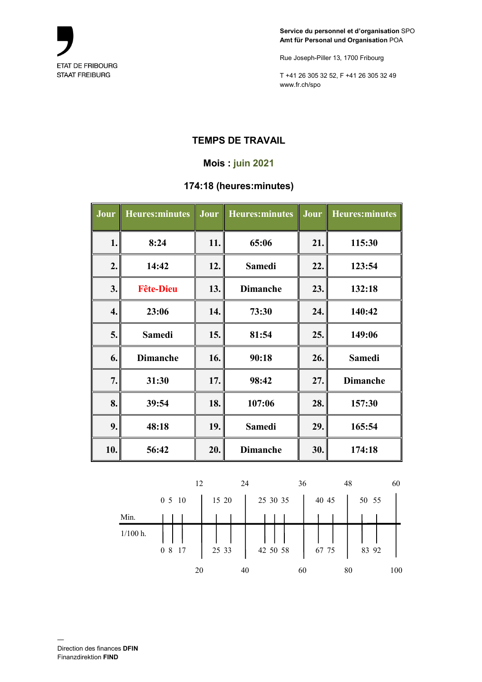

Rue Joseph-Piller 13, 1700 Fribourg

T +41 26 305 32 52, F +41 26 305 32 49 www.fr.ch/spo

# **TEMPS DE TRAVAIL**

## **Mois : juin 2021**

## **174:18 (heures:minutes)**

| Jour | <b>Heures:minutes</b> | Jour | Heures: minutes | Jour | <b>Heures:minutes</b> |
|------|-----------------------|------|-----------------|------|-----------------------|
| 1.   | 8:24                  | 11.  | 65:06           | 21.  | 115:30                |
| 2.   | 14:42                 | 12.  | <b>Samedi</b>   | 22.  | 123:54                |
| 3.   | <b>Fête-Dieu</b>      | 13.  | <b>Dimanche</b> | 23.  | 132:18                |
| 4.   | 23:06                 | 14.  | 73:30           | 24.  | 140:42                |
| 5.   | <b>Samedi</b>         | 15.  | 81:54           | 25.  | 149:06                |
| 6.   | <b>Dimanche</b>       | 16.  | 90:18           | 26.  | <b>Samedi</b>         |
| 7.   | 31:30                 | 17.  | 98:42           | 27.  | <b>Dimanche</b>       |
| 8.   | 39:54                 | 18.  | 107:06          | 28.  | 157:30                |
| 9.   | 48:18                 | 19.  | <b>Samedi</b>   | 29.  | 165:54                |
| 10.  | 56:42                 | 20.  | <b>Dimanche</b> | 30.  | 174:18                |

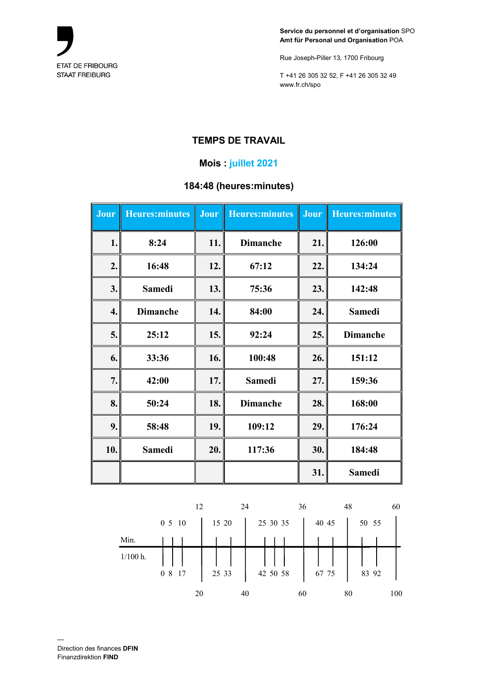

Rue Joseph-Piller 13, 1700 Fribourg

T +41 26 305 32 52, F +41 26 305 32 49 www.fr.ch/spo

# **TEMPS DE TRAVAIL**

## **Mois : juillet 2021**

## **184:48 (heures:minutes)**

| Jour | <b>Heures:minutes</b> | Jour | <b>Heures:minutes</b> | Jour | <b>Heures:minutes</b> |
|------|-----------------------|------|-----------------------|------|-----------------------|
| 1.   | 8:24                  | 11.  | <b>Dimanche</b>       | 21.  | 126:00                |
| 2.   | 16:48                 | 12.  | 67:12                 | 22.  | 134:24                |
| 3.   | <b>Samedi</b>         | 13.  | 75:36                 | 23.  | 142:48                |
| 4.   | <b>Dimanche</b>       | 14.  | 84:00                 | 24.  | <b>Samedi</b>         |
| 5.   | 25:12                 | 15.  | 92:24                 | 25.  | <b>Dimanche</b>       |
| 6.   | 33:36                 | 16.  | 100:48                | 26.  | 151:12                |
| 7.   | 42:00                 | 17.  | <b>Samedi</b>         | 27.  | 159:36                |
| 8.   | 50:24                 | 18.  | <b>Dimanche</b>       | 28.  | 168:00                |
| 9.   | 58:48                 | 19.  | 109:12                | 29.  | 176:24                |
| 10.  | <b>Samedi</b>         | 20.  | 117:36                | 30.  | 184:48                |
|      |                       |      |                       | 31.  | <b>Samedi</b>         |

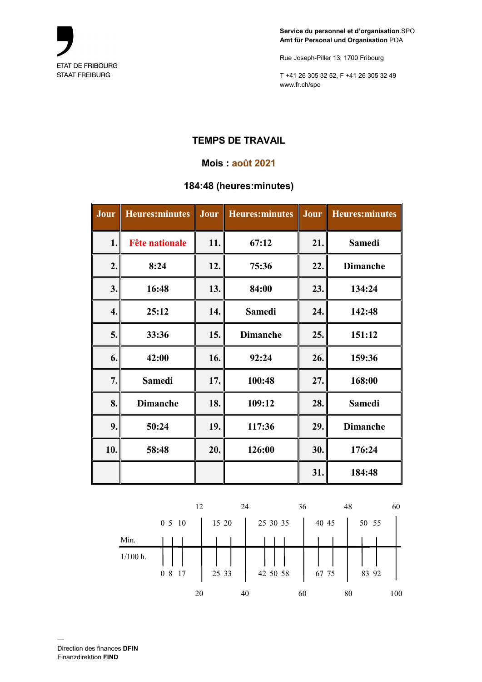

Rue Joseph-Piller 13, 1700 Fribourg

T +41 26 305 32 52, F +41 26 305 32 49 www.fr.ch/spo

# **TEMPS DE TRAVAIL**

#### **Mois : août 2021**

## **184:48 (heures:minutes)**

| Jour | <b>Heures:minutes</b> | Jour | <b>Heures:minutes</b> | Jour | <b>Heures:minutes</b> |
|------|-----------------------|------|-----------------------|------|-----------------------|
| 1.   | <b>Fête nationale</b> | 11.  | 67:12                 | 21.  | <b>Samedi</b>         |
| 2.   | 8:24                  | 12.  | 75:36                 | 22.  | <b>Dimanche</b>       |
| 3.   | 16:48                 | 13.  | 84:00                 | 23.  | 134:24                |
| 4.   | 25:12                 | 14.  | <b>Samedi</b>         | 24.  | 142:48                |
| 5.   | 33:36                 | 15.  | <b>Dimanche</b>       | 25.  | 151:12                |
| 6.   | 42:00                 | 16.  | 92:24                 | 26.  | 159:36                |
| 7.   | <b>Samedi</b>         | 17.  | 100:48                | 27.  | 168:00                |
| 8.   | <b>Dimanche</b>       | 18.  | 109:12                | 28.  | <b>Samedi</b>         |
| 9.   | 50:24                 | 19.  | 117:36                | 29.  | <b>Dimanche</b>       |
| 10.  | 58:48                 | 20.  | 126:00                | 30.  | 176:24                |
|      |                       |      |                       | 31.  | 184:48                |

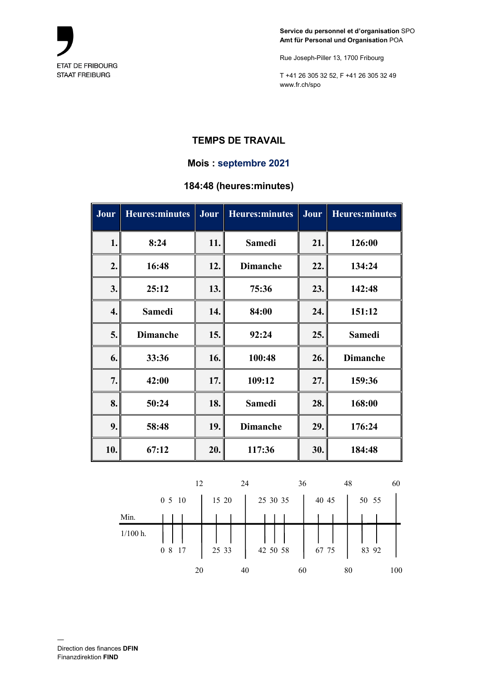

Rue Joseph-Piller 13, 1700 Fribourg

T +41 26 305 32 52, F +41 26 305 32 49 www.fr.ch/spo

## **TEMPS DE TRAVAIL**

#### **Mois : septembre 2021**

## **184:48 (heures:minutes)**

| Jour | <b>Heures:minutes</b> | Jour | <b>Heures:minutes</b> | Jour | <b>Heures:minutes</b> |
|------|-----------------------|------|-----------------------|------|-----------------------|
| 1.   | 8:24                  | 11.  | <b>Samedi</b>         | 21.  | 126:00                |
| 2.   | 16:48                 | 12.  | <b>Dimanche</b>       | 22.  | 134:24                |
| 3.   | 25:12                 | 13.  | 75:36                 | 23.  | 142:48                |
| 4.   | <b>Samedi</b>         | 14.  | 84:00                 | 24.  | 151:12                |
| 5.   | <b>Dimanche</b>       | 15.  | 92:24                 | 25.  | <b>Samedi</b>         |
| 6.   | 33:36                 | 16.  | 100:48                | 26.  | <b>Dimanche</b>       |
| 7.   | 42:00                 | 17.  | 109:12                | 27.  | 159:36                |
| 8.   | 50:24                 | 18.  | <b>Samedi</b>         | 28.  | 168:00                |
| 9.   | 58:48                 | 19.  | <b>Dimanche</b>       | 29.  | 176:24                |
| 10.  | 67:12                 | 20.  | 117:36                | 30.  | 184:48                |

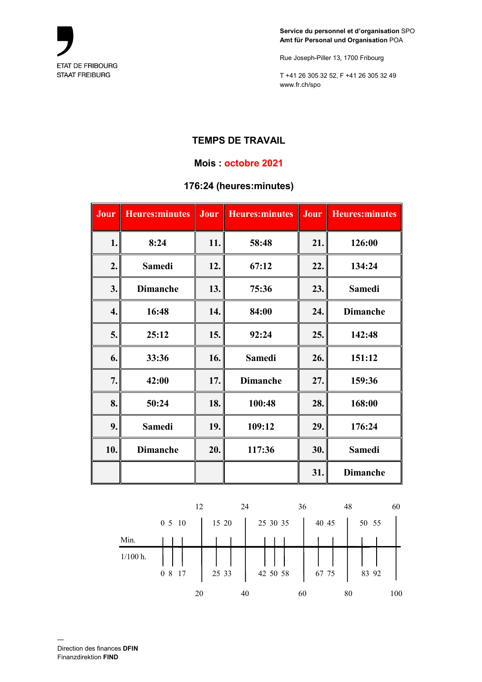

Rue Joseph-Piller 13, 1700 Fribourg

T +41 26 305 32 52, F +41 26 305 32 49 www.fr.ch/spo

# **TEMPS DE TRAVAIL**

#### **Mois : octobre 2021**

## **176:24 (heures:minutes)**

| Jour | <b>Heures:minutes</b> | Jour | <b>Heures:minutes</b> | Jour | <b>Heures:minutes</b> |
|------|-----------------------|------|-----------------------|------|-----------------------|
| 1.   | 8:24                  | 11.  | 58:48                 | 21.  | 126:00                |
| 2.   | <b>Samedi</b>         | 12.  | 67:12                 | 22.  | 134:24                |
| 3.   | <b>Dimanche</b>       | 13.  | 75:36                 | 23.  | <b>Samedi</b>         |
| 4.   | 16:48                 | 14.  | 84:00                 | 24.  | <b>Dimanche</b>       |
| 5.   | 25:12                 | 15.  | 92:24                 | 25.  | 142:48                |
| 6.   | 33:36                 | 16.  | <b>Samedi</b>         | 26.  | 151:12                |
| 7.   | 42:00                 | 17.  | <b>Dimanche</b>       | 27.  | 159:36                |
| 8.   | 50:24                 | 18.  | 100:48                | 28.  | 168:00                |
| 9.   | <b>Samedi</b>         | 19.  | 109:12                | 29.  | 176:24                |
| 10.  | <b>Dimanche</b>       | 20.  | 117:36                | 30.  | <b>Samedi</b>         |
|      |                       |      |                       | 31.  | <b>Dimanche</b>       |

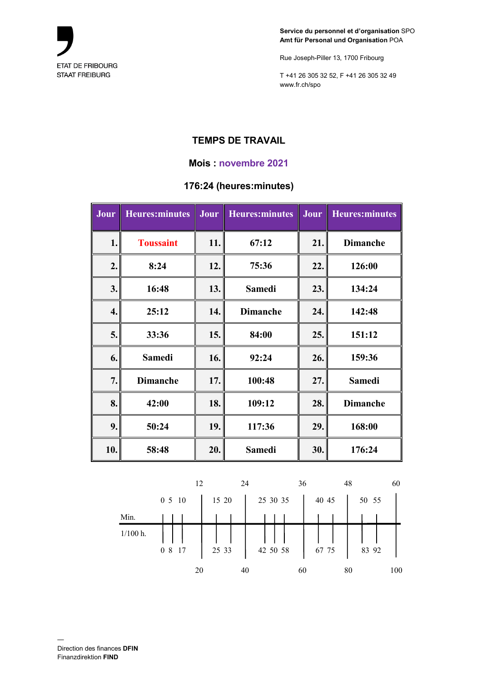

Rue Joseph-Piller 13, 1700 Fribourg

T +41 26 305 32 52, F +41 26 305 32 49 www.fr.ch/spo

# **TEMPS DE TRAVAIL**

#### **Mois : novembre 2021**

## **176:24 (heures:minutes)**

| Jour | <b>Heures:minutes</b> | Jour | <b>Heures:minutes</b> | Jour | <b>Heures:minutes</b> |
|------|-----------------------|------|-----------------------|------|-----------------------|
| 1.   | <b>Toussaint</b>      | 11.  | 67:12                 | 21.  | <b>Dimanche</b>       |
| 2.   | 8:24                  | 12.  | 75:36                 | 22.  | 126:00                |
| 3.   | 16:48                 | 13.  | <b>Samedi</b>         | 23.  | 134:24                |
| 4.   | 25:12                 | 14.  | <b>Dimanche</b>       | 24.  | 142:48                |
| 5.   | 33:36                 | 15.  | 84:00                 | 25.  | 151:12                |
| 6.   | <b>Samedi</b>         | 16.  | 92:24                 | 26.  | 159:36                |
| 7.   | <b>Dimanche</b>       | 17.  | 100:48                | 27.  | <b>Samedi</b>         |
| 8.   | 42:00                 | 18.  | 109:12                | 28.  | <b>Dimanche</b>       |
| 9.   | 50:24                 | 19.  | 117:36                | 29.  | 168:00                |
| 10.  | 58:48                 | 20.  | <b>Samedi</b>         | 30.  | 176:24                |